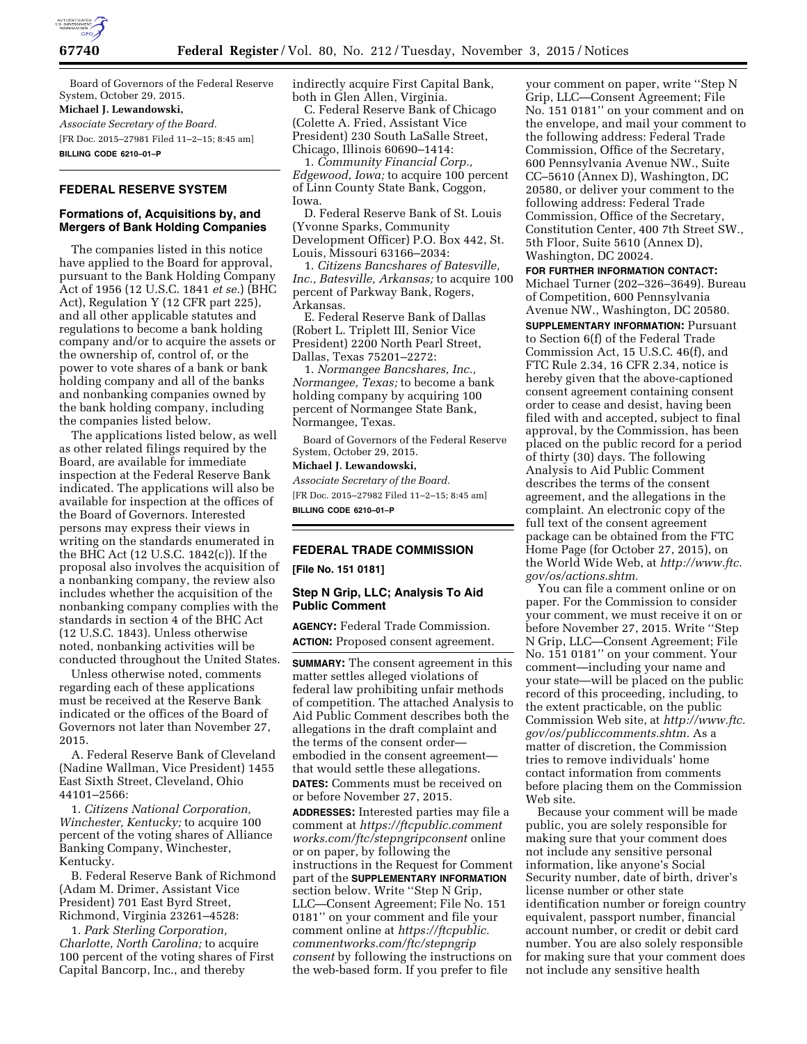

Board of Governors of the Federal Reserve System, October 29, 2015.

#### **Michael J. Lewandowski,**

*Associate Secretary of the Board.*  [FR Doc. 2015–27981 Filed 11–2–15; 8:45 am]

**BILLING CODE 6210–01–P** 

## **FEDERAL RESERVE SYSTEM**

## **Formations of, Acquisitions by, and Mergers of Bank Holding Companies**

The companies listed in this notice have applied to the Board for approval, pursuant to the Bank Holding Company Act of 1956 (12 U.S.C. 1841 *et se.*) (BHC Act), Regulation Y (12 CFR part 225), and all other applicable statutes and regulations to become a bank holding company and/or to acquire the assets or the ownership of, control of, or the power to vote shares of a bank or bank holding company and all of the banks and nonbanking companies owned by the bank holding company, including the companies listed below.

The applications listed below, as well as other related filings required by the Board, are available for immediate inspection at the Federal Reserve Bank indicated. The applications will also be available for inspection at the offices of the Board of Governors. Interested persons may express their views in writing on the standards enumerated in the BHC Act (12 U.S.C. 1842(c)). If the proposal also involves the acquisition of a nonbanking company, the review also includes whether the acquisition of the nonbanking company complies with the standards in section 4 of the BHC Act (12 U.S.C. 1843). Unless otherwise noted, nonbanking activities will be conducted throughout the United States.

Unless otherwise noted, comments regarding each of these applications must be received at the Reserve Bank indicated or the offices of the Board of Governors not later than November 27, 2015.

A. Federal Reserve Bank of Cleveland (Nadine Wallman, Vice President) 1455 East Sixth Street, Cleveland, Ohio 44101–2566:

1. *Citizens National Corporation, Winchester, Kentucky;* to acquire 100 percent of the voting shares of Alliance Banking Company, Winchester, Kentucky.

B. Federal Reserve Bank of Richmond (Adam M. Drimer, Assistant Vice President) 701 East Byrd Street, Richmond, Virginia 23261–4528:

1. *Park Sterling Corporation, Charlotte, North Carolina;* to acquire 100 percent of the voting shares of First Capital Bancorp, Inc., and thereby

indirectly acquire First Capital Bank, both in Glen Allen, Virginia.

C. Federal Reserve Bank of Chicago (Colette A. Fried, Assistant Vice President) 230 South LaSalle Street, Chicago, Illinois 60690–1414:

1. *Community Financial Corp., Edgewood, Iowa;* to acquire 100 percent of Linn County State Bank, Coggon, Iowa.

D. Federal Reserve Bank of St. Louis (Yvonne Sparks, Community Development Officer) P.O. Box 442, St. Louis, Missouri 63166–2034:

1. *Citizens Bancshares of Batesville, Inc., Batesville, Arkansas;* to acquire 100 percent of Parkway Bank, Rogers, Arkansas.

E. Federal Reserve Bank of Dallas (Robert L. Triplett III, Senior Vice President) 2200 North Pearl Street, Dallas, Texas 75201–2272:

1. *Normangee Bancshares, Inc., Normangee, Texas;* to become a bank holding company by acquiring 100 percent of Normangee State Bank, Normangee, Texas.

Board of Governors of the Federal Reserve System, October 29, 2015.

#### **Michael J. Lewandowski,**

*Associate Secretary of the Board.*  [FR Doc. 2015–27982 Filed 11–2–15; 8:45 am] **BILLING CODE 6210–01–P** 

## **FEDERAL TRADE COMMISSION**

**[File No. 151 0181]** 

### **Step N Grip, LLC; Analysis To Aid Public Comment**

**AGENCY:** Federal Trade Commission. **ACTION:** Proposed consent agreement.

**SUMMARY:** The consent agreement in this matter settles alleged violations of federal law prohibiting unfair methods of competition. The attached Analysis to Aid Public Comment describes both the allegations in the draft complaint and the terms of the consent order embodied in the consent agreement that would settle these allegations. **DATES:** Comments must be received on or before November 27, 2015.

**ADDRESSES:** Interested parties may file a comment at *[https://ftcpublic.comment](https://ftcpublic.commentworks.com/ftc/stepngripconsent) [works.com/ftc/stepngripconsent](https://ftcpublic.commentworks.com/ftc/stepngripconsent)* online or on paper, by following the instructions in the Request for Comment part of the **SUPPLEMENTARY INFORMATION** section below. Write ''Step N Grip, LLC—Consent Agreement; File No. 151 0181'' on your comment and file your comment online at *[https://ftcpublic.](https://ftcpublic.commentworks.com/ftc/stepngripconsent) [commentworks.com/ftc/stepngrip](https://ftcpublic.commentworks.com/ftc/stepngripconsent) [consent](https://ftcpublic.commentworks.com/ftc/stepngripconsent)* by following the instructions on the web-based form. If you prefer to file

your comment on paper, write ''Step N Grip, LLC—Consent Agreement; File No. 151 0181'' on your comment and on the envelope, and mail your comment to the following address: Federal Trade Commission, Office of the Secretary, 600 Pennsylvania Avenue NW., Suite CC–5610 (Annex D), Washington, DC 20580, or deliver your comment to the following address: Federal Trade Commission, Office of the Secretary, Constitution Center, 400 7th Street SW., 5th Floor, Suite 5610 (Annex D), Washington, DC 20024.

**FOR FURTHER INFORMATION CONTACT:** 

Michael Turner (202–326–3649). Bureau of Competition, 600 Pennsylvania Avenue NW., Washington, DC 20580.

**SUPPLEMENTARY INFORMATION: Pursuant** to Section 6(f) of the Federal Trade Commission Act, 15 U.S.C. 46(f), and FTC Rule 2.34, 16 CFR 2.34, notice is hereby given that the above-captioned consent agreement containing consent order to cease and desist, having been filed with and accepted, subject to final approval, by the Commission, has been placed on the public record for a period of thirty (30) days. The following Analysis to Aid Public Comment describes the terms of the consent agreement, and the allegations in the complaint. An electronic copy of the full text of the consent agreement package can be obtained from the FTC Home Page (for October 27, 2015), on the World Wide Web, at *[http://www.ftc.](http://www.ftc.gov/os/actions.shtm) [gov/os/actions.shtm.](http://www.ftc.gov/os/actions.shtm)* 

You can file a comment online or on paper. For the Commission to consider your comment, we must receive it on or before November 27, 2015. Write ''Step N Grip, LLC—Consent Agreement; File No. 151 0181'' on your comment. Your comment—including your name and your state—will be placed on the public record of this proceeding, including, to the extent practicable, on the public Commission Web site, at *[http://www.ftc.](http://www.ftc.gov/os/publiccomments.shtm) [gov/os/publiccomments.shtm.](http://www.ftc.gov/os/publiccomments.shtm)* As a matter of discretion, the Commission tries to remove individuals' home contact information from comments before placing them on the Commission Web site.

Because your comment will be made public, you are solely responsible for making sure that your comment does not include any sensitive personal information, like anyone's Social Security number, date of birth, driver's license number or other state identification number or foreign country equivalent, passport number, financial account number, or credit or debit card number. You are also solely responsible for making sure that your comment does not include any sensitive health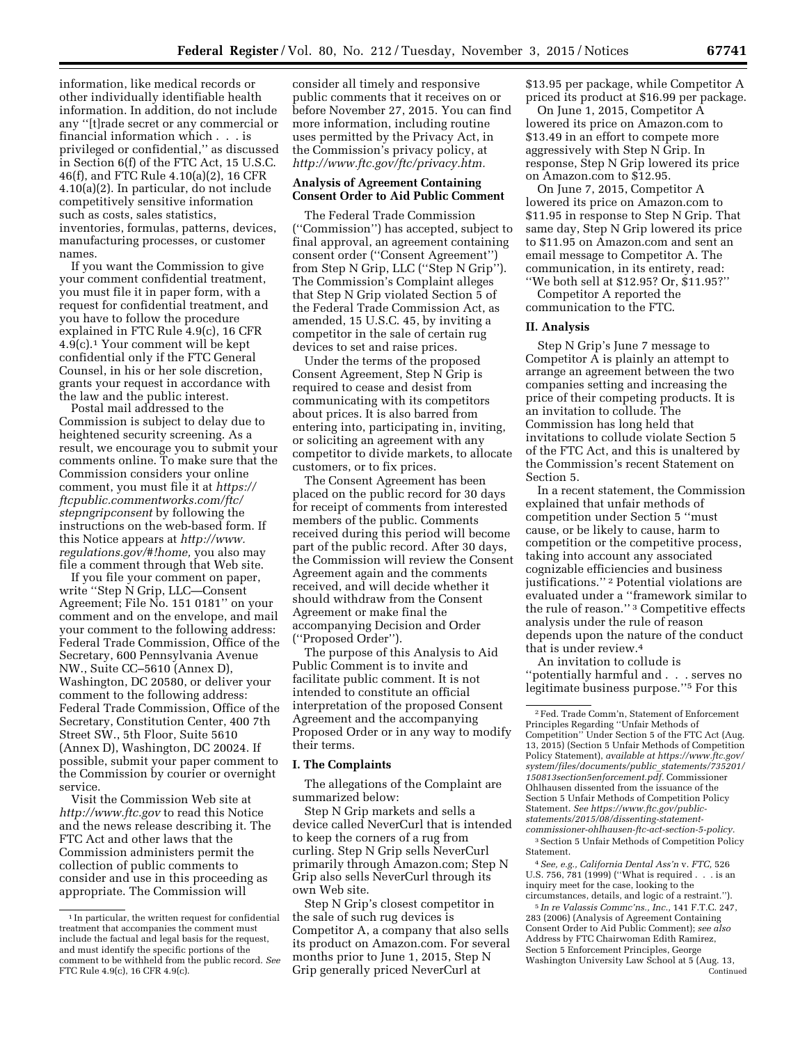information, like medical records or other individually identifiable health information. In addition, do not include any ''[t]rade secret or any commercial or financial information which . . . is privileged or confidential,'' as discussed in Section 6(f) of the FTC Act, 15 U.S.C. 46(f), and FTC Rule 4.10(a)(2), 16 CFR 4.10(a)(2). In particular, do not include competitively sensitive information such as costs, sales statistics, inventories, formulas, patterns, devices, manufacturing processes, or customer names.

If you want the Commission to give your comment confidential treatment, you must file it in paper form, with a request for confidential treatment, and you have to follow the procedure explained in FTC Rule 4.9(c), 16 CFR 4.9(c).1 Your comment will be kept confidential only if the FTC General Counsel, in his or her sole discretion, grants your request in accordance with the law and the public interest.

Postal mail addressed to the Commission is subject to delay due to heightened security screening. As a result, we encourage you to submit your comments online. To make sure that the Commission considers your online comment, you must file it at *[https://](https://ftcpublic.commentworks.com/ftc/stepngripconsent) [ftcpublic.commentworks.com/ftc/](https://ftcpublic.commentworks.com/ftc/stepngripconsent) [stepngripconsent](https://ftcpublic.commentworks.com/ftc/stepngripconsent)* by following the instructions on the web-based form. If this Notice appears at *[http://www.](http://www.regulations.gov/#!home) [regulations.gov/#!home,](http://www.regulations.gov/#!home)* you also may file a comment through that Web site.

If you file your comment on paper, write ''Step N Grip, LLC—Consent Agreement; File No. 151 0181'' on your comment and on the envelope, and mail your comment to the following address: Federal Trade Commission, Office of the Secretary, 600 Pennsylvania Avenue NW., Suite CC–5610 (Annex D), Washington, DC 20580, or deliver your comment to the following address: Federal Trade Commission, Office of the Secretary, Constitution Center, 400 7th Street SW., 5th Floor, Suite 5610 (Annex D), Washington, DC 20024. If possible, submit your paper comment to the Commission by courier or overnight service.

Visit the Commission Web site at *<http://www.ftc.gov>*to read this Notice and the news release describing it. The FTC Act and other laws that the Commission administers permit the collection of public comments to consider and use in this proceeding as appropriate. The Commission will

consider all timely and responsive public comments that it receives on or before November 27, 2015. You can find more information, including routine uses permitted by the Privacy Act, in the Commission's privacy policy, at *[http://www.ftc.gov/ftc/privacy.htm.](http://www.ftc.gov/ftc/privacy.htm)* 

### **Analysis of Agreement Containing Consent Order to Aid Public Comment**

The Federal Trade Commission (''Commission'') has accepted, subject to final approval, an agreement containing consent order (''Consent Agreement'') from Step N Grip, LLC (''Step N Grip''). The Commission's Complaint alleges that Step N Grip violated Section 5 of the Federal Trade Commission Act, as amended, 15 U.S.C. 45, by inviting a competitor in the sale of certain rug devices to set and raise prices.

Under the terms of the proposed Consent Agreement, Step N Grip is required to cease and desist from communicating with its competitors about prices. It is also barred from entering into, participating in, inviting, or soliciting an agreement with any competitor to divide markets, to allocate customers, or to fix prices.

The Consent Agreement has been placed on the public record for 30 days for receipt of comments from interested members of the public. Comments received during this period will become part of the public record. After 30 days, the Commission will review the Consent Agreement again and the comments received, and will decide whether it should withdraw from the Consent Agreement or make final the accompanying Decision and Order (''Proposed Order'').

The purpose of this Analysis to Aid Public Comment is to invite and facilitate public comment. It is not intended to constitute an official interpretation of the proposed Consent Agreement and the accompanying Proposed Order or in any way to modify their terms.

#### **I. The Complaints**

The allegations of the Complaint are summarized below:

Step N Grip markets and sells a device called NeverCurl that is intended to keep the corners of a rug from curling. Step N Grip sells NeverCurl primarily through Amazon.com; Step N Grip also sells NeverCurl through its own Web site.

Step N Grip's closest competitor in the sale of such rug devices is Competitor A, a company that also sells its product on Amazon.com. For several months prior to June 1, 2015, Step N Grip generally priced NeverCurl at

\$13.95 per package, while Competitor A priced its product at \$16.99 per package.

On June 1, 2015, Competitor A lowered its price on Amazon.com to \$13.49 in an effort to compete more aggressively with Step N Grip. In response, Step N Grip lowered its price on Amazon.com to \$12.95.

On June 7, 2015, Competitor A lowered its price on Amazon.com to \$11.95 in response to Step N Grip. That same day, Step N Grip lowered its price to \$11.95 on Amazon.com and sent an email message to Competitor A. The communication, in its entirety, read: ''We both sell at \$12.95? Or, \$11.95?''

Competitor A reported the communication to the FTC.

### **II. Analysis**

Step N Grip's June 7 message to Competitor A is plainly an attempt to arrange an agreement between the two companies setting and increasing the price of their competing products. It is an invitation to collude. The Commission has long held that invitations to collude violate Section 5 of the FTC Act, and this is unaltered by the Commission's recent Statement on Section 5.

In a recent statement, the Commission explained that unfair methods of competition under Section 5 ''must cause, or be likely to cause, harm to competition or the competitive process, taking into account any associated cognizable efficiencies and business justifications."<sup>2</sup> Potential violations are evaluated under a ''framework similar to the rule of reason.'' 3 Competitive effects analysis under the rule of reason depends upon the nature of the conduct that is under review.4

An invitation to collude is ''potentially harmful and . . . serves no legitimate business purpose.''5 For this

4*See, e.g., California Dental Ass'n* v. *FTC,* 526 U.S. 756, 781 (1999) (''What is required . . . is an inquiry meet for the case, looking to the circumstances, details, and logic of a restraint.'').

5 *In re Valassis Commc'ns., Inc.,* 141 F.T.C. 247, 283 (2006) (Analysis of Agreement Containing Consent Order to Aid Public Comment); *see also*  Address by FTC Chairwoman Edith Ramirez, Section 5 Enforcement Principles, George Washington University Law School at 5 (Aug. 13, Continued

<sup>1</sup> In particular, the written request for confidential treatment that accompanies the comment must include the factual and legal basis for the request, and must identify the specific portions of the comment to be withheld from the public record. *See*  FTC Rule 4.9(c), 16 CFR 4.9(c).

<sup>2</sup>Fed. Trade Comm'n, Statement of Enforcement Principles Regarding ''Unfair Methods of Competition'' Under Section 5 of the FTC Act (Aug. 13, 2015) (Section 5 Unfair Methods of Competition Policy Statement), *available at [https://www.ftc.gov/](https://www.ftc.gov/system/files/documents/public_statements/735201/150813section5enforcement.pdf)  [system/files/documents/public](https://www.ftc.gov/system/files/documents/public_statements/735201/150813section5enforcement.pdf)*\_*statements/735201/ [150813section5enforcement.pdf.](https://www.ftc.gov/system/files/documents/public_statements/735201/150813section5enforcement.pdf)* Commissioner Ohlhausen dissented from the issuance of the Section 5 Unfair Methods of Competition Policy Statement. *See [https://www.ftc.gov/public](https://www.ftc.gov/public- statements/2015/08/dissenting-statement-commissioner-ohlhausen-ftc-act-section-5-policy)[statements/2015/08/dissenting-statement-](https://www.ftc.gov/public- statements/2015/08/dissenting-statement-commissioner-ohlhausen-ftc-act-section-5-policy)*

*[commissioner-ohlhausen-ftc-act-section-5-policy.](https://www.ftc.gov/public- statements/2015/08/dissenting-statement-commissioner-ohlhausen-ftc-act-section-5-policy)*  3Section 5 Unfair Methods of Competition Policy Statement.